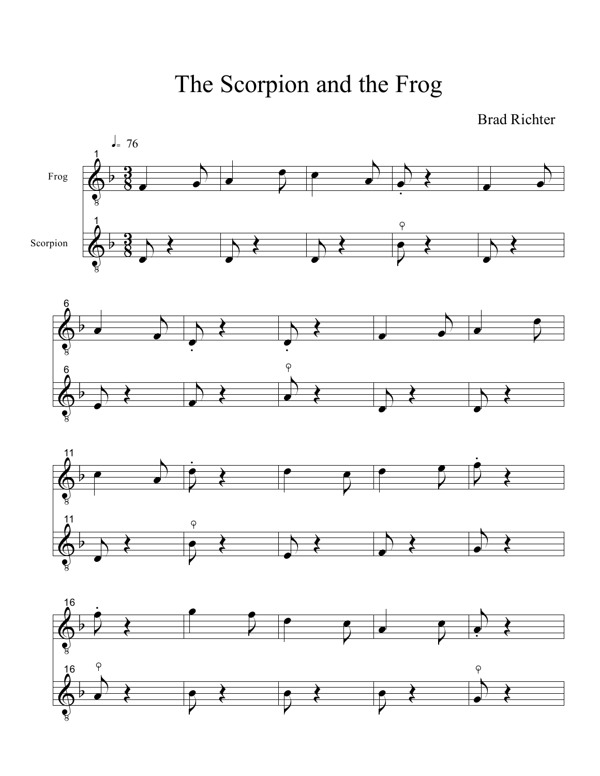The Scorpion and the Frog

Brad Richter